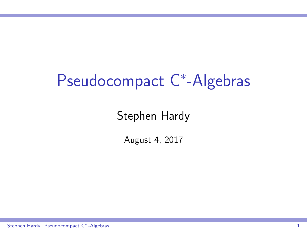# <span id="page-0-0"></span>Pseudocompact C<sup>\*</sup>-Algebras

Stephen Hardy

August 4, 2017

Stephen Hardy: Pseudocompact C∗-Algebras 1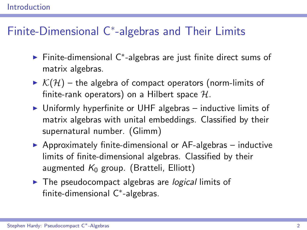# <span id="page-1-0"></span>Finite-Dimensional C<sup>∗</sup> -algebras and Their Limits

- ► Finite-dimensional C\*-algebras are just finite direct sums of matrix algebras.
- $\triangleright$  K(H) the algebra of compact operators (norm-limits of finite-rank operators) on a Hilbert space  $H$ .
- $\triangleright$  Uniformly hyperfinite or UHF algebras inductive limits of matrix algebras with unital embeddings. Classified by their supernatural number. (Glimm)
- $\triangleright$  Approximately finite-dimensional or AF-algebras inductive limits of finite-dimensional algebras. Classified by their augmented  $K_0$  group. (Bratteli, Elliott)
- $\triangleright$  The pseudocompact algebras are *logical* limits of finite-dimensional C<sup>∗</sup> -algebras.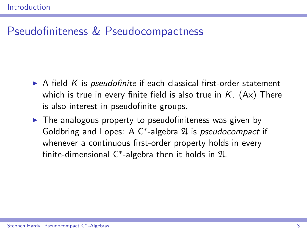#### Pseudofiniteness & Pseudocompactness

- $\triangleright$  A field K is *pseudofinite* if each classical first-order statement which is true in every finite field is also true in  $K$ . (Ax) There is also interest in pseudofinite groups.
- $\triangleright$  The analogous property to pseudofiniteness was given by Goldbring and Lopes: A C<sup>\*</sup>-algebra 21 is pseudocompact if whenever a continuous first-order property holds in every finite-dimensional C<sup>\*</sup>-algebra then it holds in  $\mathfrak{A}$ .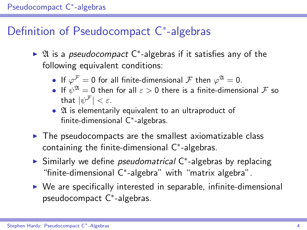# <span id="page-3-0"></span>Definition of Pseudocompact C<sup>\*</sup>-algebras

- ► 21 is a pseudocompact C\*-algebras if it satisfies any of the following equivalent conditions:
	- If  $\varphi^{\mathcal{F}}=0$  for all finite-dimensional  $\mathcal F$  then  $\varphi^{\mathfrak{A}}=0.$
	- $\bullet\;$  If  $\psi^{\mathfrak{A}}=0$  then for all  $\varepsilon>0$  there is a finite-dimensional  ${\mathcal F}$  so that  $|\psi^{\mathcal{F}}| < \varepsilon$ .
	- $\bullet$   $\mathfrak A$  is elementarily equivalent to an ultraproduct of finite-dimensional C<sup>∗</sup> -algebras.
- $\triangleright$  The pseudocompacts are the smallest axiomatizable class containing the finite-dimensional C<sup>∗</sup> -algebras.
- ► Similarly we define *pseudomatrical* C\*-algebras by replacing "finite-dimensional C<sup>∗</sup> -algebra" with "matrix algebra".
- $\triangleright$  We are specifically interested in separable, infinite-dimensional pseudocompact C<sup>∗</sup> -algebras.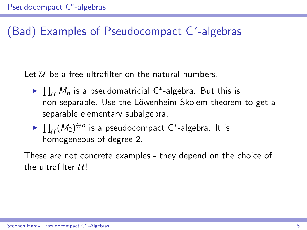# (Bad) Examples of Pseudocompact C<sup>∗</sup> -algebras

Let  $U$  be a free ultrafilter on the natural numbers.

- ►  $\prod_{\mathcal{U}} M_n$  is a pseudomatricial C $^*$ -algebra. But this is non-separable. Use the Löwenheim-Skolem theorem to get a separable elementary subalgebra.
- $\blacktriangleright \prod_{\mathcal{U}} (M_2)^{\oplus n}$  is a pseudocompact  $\mathsf{C}^*$ -algebra. It is homogeneous of degree 2.

These are not concrete examples - they depend on the choice of the ultrafilter  $U^{\dagger}$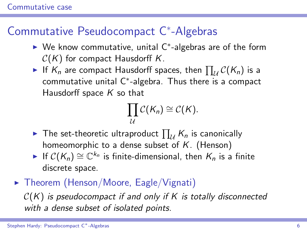# <span id="page-5-0"></span>Commutative Pseudocompact C<sup>∗</sup> -Algebras

- ► We know commutative, unital C\*-algebras are of the form  $C(K)$  for compact Hausdorff K.
- $\blacktriangleright$  If  $K_n$  are compact Hausdorff spaces, then  $\prod_{\mathcal{U}} C(K_n)$  is a commutative unital C<sup>∗</sup> -algebra. Thus there is a compact Hausdorff space  $K$  so that

$$
\prod_{\mathcal{U}}\mathcal{C}(K_n)\cong \mathcal{C}(K).
$$

- $\blacktriangleright$  The set-theoretic ultraproduct  $\prod_{\mathcal{U}}\mathcal{K}_n$  is canonically homeomorphic to a dense subset of  $K$ . (Henson)
- ► If  $C(K_n) \cong \mathbb{C}^{k_n}$  is finite-dimensional, then  $K_n$  is a finite discrete space.
- $\triangleright$  Theorem (Henson/Moore, Eagle/Vignati)

 $C(K)$  is pseudocompact if and only if K is totally disconnected with a dense subset of isolated points.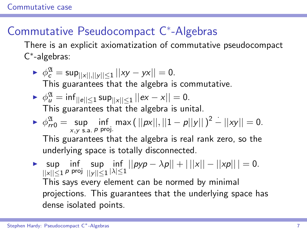# Commutative Pseudocompact C<sup>∗</sup> -Algebras

There is an explicit axiomatization of commutative pseudocompact C ∗ -algebras:

►  $\phi_c^{\mathfrak{A}} = \sup_{\vert \vert x \vert \vert, \vert \vert y \vert \vert \leq 1} \vert \vert xy - yx \vert \vert = 0.$ This guarantees that the algebra is commutative.  $\triangleright \ \ \phi_u^{\mathfrak{A}} = \inf_{||e|| \leq 1} \sup_{||x|| \leq 1} ||ex - x|| = 0.$ This guarantees that the algebra is unital.  $\blacktriangleright \phi_{rr0}^{\mathfrak{A}} = \sup_{x,y \text{ s.a.}}$  $\inf_{p \text{ proj.}} \max \left( ||px||, ||1-p||y|| \right)^2 - ||xy|| = 0.$ This guarantees that the algebra is real rank zero, so the underlying space is totally disconnected.

 $\blacktriangleright$  sup ||x||≤1  $\inf_{p \text{ proj}} \sup_{||y|| \leq 1}$ ||y||≤1  $\inf_{|\lambda| \le 1} ||pyp - \lambda p|| + |||x|| - ||xp||| = 0.$ This says every element can be normed by minimal projections. This guarantees that the underlying space has dense isolated points.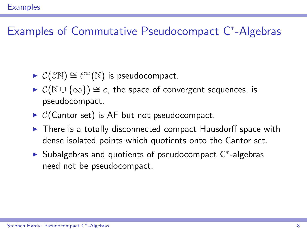# <span id="page-7-0"></span>Examples of Commutative Pseudocompact C<sup>∗</sup> -Algebras

- $\mathcal{C}(\beta \mathbb{N}) \cong \ell^{\infty}(\mathbb{N})$  is pseudocompact.
- $\mathcal{C}(\mathbb{N} \cup \{\infty\}) \cong c$ , the space of convergent sequences, is pseudocompact.
- $\triangleright$  C(Cantor set) is AF but not pseudocompact.
- $\triangleright$  There is a totally disconnected compact Hausdorff space with dense isolated points which quotients onto the Cantor set.
- ► Subalgebras and quotients of pseudocompact C\*-algebras need not be pseudocompact.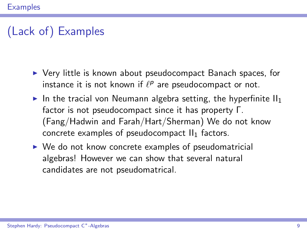# (Lack of) Examples

- $\triangleright$  Very little is known about pseudocompact Banach spaces, for instance it is not known if  $\ell^p$  are pseudocompact or not.
- In the tracial von Neumann algebra setting, the hyperfinite  $II_1$ factor is not pseudocompact since it has property Γ. (Fang/Hadwin and Farah/Hart/Sherman) We do not know concrete examples of pseudocompact  $II_1$  factors.
- $\triangleright$  We do not know concrete examples of pseudomatricial algebras! However we can show that several natural candidates are not pseudomatrical.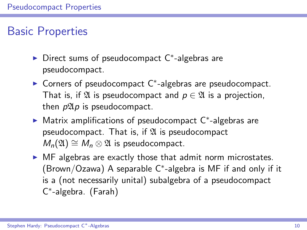#### <span id="page-9-0"></span>Basic Properties

- ▶ Direct sums of pseudocompact C\*-algebras are pseudocompact.
- ► Corners of pseudocompact C\*-algebras are pseudocompact. That is, if  $\mathfrak A$  is pseudocompact and  $p \in \mathfrak A$  is a projection, then  $p\mathfrak{A}p$  is pseudocompact.
- ► Matrix amplifications of pseudocompact C\*-algebras are pseudocompact. That is, if  $\mathfrak A$  is pseudocompact  $M_n(\mathfrak{A}) \cong M_n \otimes \mathfrak{A}$  is pseudocompact.
- $\triangleright$  MF algebras are exactly those that admit norm microstates. (Brown/Ozawa) A separable C<sup>∗</sup> -algebra is MF if and only if it is a (not necessarily unital) subalgebra of a pseudocompact C ∗ -algebra. (Farah)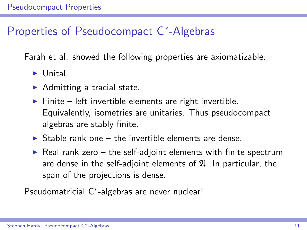# Properties of Pseudocompact C<sup>∗</sup> -Algebras

Farah et al. showed the following properties are axiomatizable:

- $\blacktriangleright$  Unital.
- $\blacktriangleright$  Admitting a tracial state.
- $\triangleright$  Finite left invertible elements are right invertible. Equivalently, isometries are unitaries. Thus pseudocompact algebras are stably finite.
- $\triangleright$  Stable rank one the invertible elements are dense.
- $\triangleright$  Real rank zero the self-adjoint elements with finite spectrum are dense in the self-adjoint elements of  $\mathfrak{A}$ . In particular, the span of the projections is dense.

Pseudomatricial C<sup>\*</sup>-algebras are never nuclear!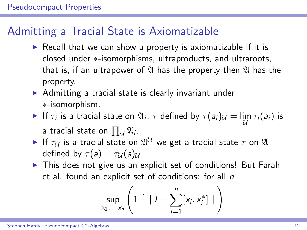#### Admitting a Tracial State is Axiomatizable

- $\triangleright$  Recall that we can show a property is axiomatizable if it is closed under ∗-isomorphisms, ultraproducts, and ultraroots, that is, if an ultrapower of  $\mathfrak A$  has the property then  $\mathfrak A$  has the property.
- $\triangleright$  Admitting a tracial state is clearly invariant under ∗-isomorphism.
- If  $\tau_i$  is a tracial state on  $\mathfrak{A}_i$ ,  $\tau$  defined by  $\tau(a_i)_{\mathcal{U}} = \lim_{\mathcal{U}} \tau_i(a_i)$  is a tracial state on  $\prod_{\mathcal{U}}\mathfrak{A}_i.$
- $\blacktriangleright$  If  $\tau_\mathcal{U}$  is a tracial state on  $\mathfrak{A}^\mathcal{U}$  we get a tracial state  $\tau$  on  $\mathfrak A$ defined by  $\tau(a) = \tau_{11}(a)_{11}$ .
- $\triangleright$  This does not give us an explicit set of conditions! But Farah et al. found an explicit set of conditions: for all  $n$

$$
\sup_{x_1,\ldots,x_n}\left(1-||I-\sum_{i=1}^n[x_i,x_i^*]||\right)
$$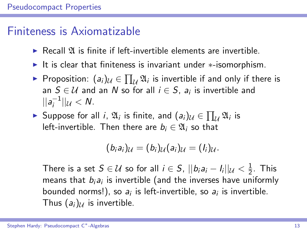#### Finiteness is Axiomatizable

- $\triangleright$  Recall  $\mathfrak A$  is finite if left-invertible elements are invertible.
- **►** It is clear that finiteness is invariant under \*-isomorphism.
- ► Proposition:  $(a_i)_{\mathcal{U}} \in \prod_{\mathcal{U}} \mathfrak{A}_i$  is invertible if and only if there is an  $S \in \mathcal{U}$  and an  $N$  so for all  $i \in S$ ,  $a_i$  is invertible and  $||a_i^{-1}$  $||u < N.$
- ► Suppose for all *i*,  $\mathfrak{A}_i$  is finite, and  $(a_i)_{\mathcal{U}} \in \prod_{\mathcal{U}} \mathfrak{A}_i$  is left-invertible. Then there are  $b_i \in \mathfrak{A}_i$  so that

$$
(b_i a_i)_{\mathcal{U}} = (b_i)_{\mathcal{U}} (a_i)_{\mathcal{U}} = (l_i)_{\mathcal{U}}.
$$

There is a set  $S \in \mathcal{U}$  so for all  $i \in S$ ,  $||b_i a_i - l_i||_{\mathcal{U}} < \frac{1}{2}$  $\frac{1}{2}$ . This means that  $b_i$ a $_i$  is invertible (and the inverses have uniformly bounded norms!), so  $a_i$  is left-invertible, so  $a_i$  is invertible. Thus  $(a_i)_{\mathcal{U}}$  is invertible.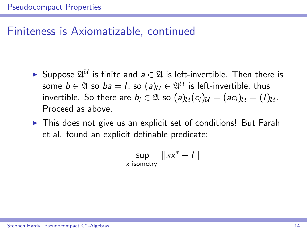#### Finiteness is Axiomatizable, continued

- ► Suppose  $\mathfrak{A}^\mathcal{U}$  is finite and  $a \in \mathfrak{A}$  is left-invertible. Then there is some  $b\in\mathfrak A$  so  $ba=l$ , so  $(a)_{\mathcal U}\in \mathfrak A^{\mathcal U}$  is left-invertible, thus invertible. So there are  $b_i \in \mathfrak{A}$  so  $(a)_{\mathcal{U}}(c_i)_{\mathcal{U}} = (ac_i)_{\mathcal{U}} = (I)_{\mathcal{U}}$ . Proceed as above.
- $\triangleright$  This does not give us an explicit set of conditions! But Farah et al. found an explicit definable predicate:

$$
\sup_{x \text{ isometry}} \left| \left| xx^* - I \right| \right|
$$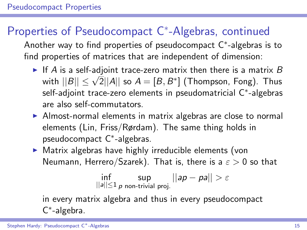# Properties of Pseudocompact C<sup>∗</sup> -Algebras, continued

Another way to find properties of pseudocompact C<sup>∗</sup> -algebras is to find properties of matrices that are independent of dimension:

- If A is a self-adjoint trace-zero matrix then there is a matrix  $B$ If A is a sen-adjoint trace-zero matrix then there is a matrix B<br>with  $||B|| \le \sqrt{2}||A||$  so  $A = [B, B^*]$  (Thompson, Fong). Thus self-adjoint trace-zero elements in pseudomatricial C<sup>∗</sup> -algebras are also self-commutators.
- $\triangleright$  Almost-normal elements in matrix algebras are close to normal elements (Lin, Friss/Rørdam). The same thing holds in pseudocompact C<sup>∗</sup> -algebras.
- $\triangleright$  Matrix algebras have highly irreducible elements (von Neumann, Herrero/Szarek). That is, there is a  $\varepsilon > 0$  so that

$$
\inf_{||a|| \leq 1} \sup_{p \text{ non-trivial proj.}} ||ap - pa|| > \varepsilon
$$

in every matrix algebra and thus in every pseudocompact C ∗ -algebra.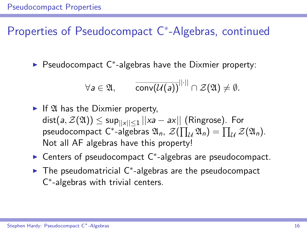# Properties of Pseudocompact C<sup>∗</sup> -Algebras, continued

▶ Pseudocompact C\*-algebras have the Dixmier property:

$$
\forall a \in \mathfrak{A}, \qquad \overline{\text{conv}(\mathcal{U}(a))}^{\|\cdot\|} \cap \mathcal{Z}(\mathfrak{A}) \neq \emptyset.
$$

- If  $\mathfrak A$  has the Dixmier property,  $\mathsf{dist}( \mathsf{a},\mathcal{Z}(\mathfrak{A}))\leq \mathsf{sup}_{||\mathsf{x}||\leq 1}||\mathsf{x}\mathsf{a}-\mathsf{a}\mathsf{x}||$   $(\mathsf{Ringrose}).$  For pseudocompact C\*-algebras  $\mathfrak{A}_n$ ,  $\mathcal{Z}(\prod_{\mathcal{U}}\mathfrak{A}_n)=\prod_{\mathcal{U}}\mathcal{Z}(\mathfrak{A}_n)$ . Not all AF algebras have this property!
- ► Centers of pseudocompact C\*-algebras are pseudocompact.
- ▶ The pseudomatricial C\*-algebras are the pseudocompact C ∗ -algebras with trivial centers.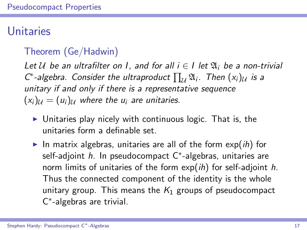#### Unitaries

#### Theorem (Ge/Hadwin)

Let U be an ultrafilter on I, and for all  $i \in I$  let  $\mathfrak{A}_i$  be a non-trivial  $C^*$ -algebra. Consider the ultraproduct  $\prod_{\mathcal{U}} \mathfrak{A}_i$ . Then  $(x_i)_{\mathcal{U}}$  is a unitary if and only if there is a representative sequence  $(x_i)_{\mathcal{U}} = (u_i)_{\mathcal{U}}$  where the  $u_i$  are unitaries.

- $\triangleright$  Unitaries play nicely with continuous logic. That is, the unitaries form a definable set.
- In matrix algebras, unitaries are all of the form  $\exp(ih)$  for self-adjoint *h*. In pseudocompact C<sup>\*</sup>-algebras, unitaries are norm limits of unitaries of the form  $exp(ih)$  for self-adjoint h. Thus the connected component of the identity is the whole unitary group. This means the  $K_1$  groups of pseudocompact C ∗ -algebras are trivial.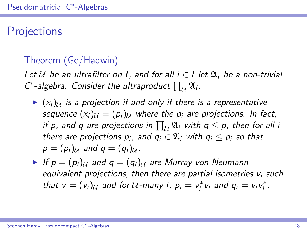#### <span id="page-17-0"></span>**Projections**

#### Theorem (Ge/Hadwin)

Let U be an ultrafilter on I, and for all  $i \in I$  let  $\mathfrak{A}_i$  be a non-trivial  $C^*$ -algebra. Consider the ultraproduct  $\prod_{\mathcal{U}} \mathfrak{A}_i$ .

- $\blacktriangleright$   $(x_i)_{U_i}$  is a projection if and only if there is a representative sequence  $(x_i)_{\mathcal{U}} = (p_i)_{\mathcal{U}}$  where the  $p_i$  are projections. In fact, if p, and q are projections in  $\prod_\mathcal{U} \mathfrak{A}_i$  with  $\mathfrak{q} \leq \mathsf{p}_i$  then for all i there are projections  $p_i$ , and  $q_i \in \mathfrak{A}_i$  with  $q_i \leq p_i$  so that  $p = (p_i)_U$  and  $q = (q_i)_U$ .
- If  $p = (p_i)_{U_i}$  and  $q = (q_i)_{U_i}$  are Murray-von Neumann equivalent projections, then there are partial isometries  $v_i$  such that  $v = (v_i)_\mathcal{U}$  and for U-many i,  $p_i = v_i^* v_i$  and  $q_i = v_i v_i^*$ .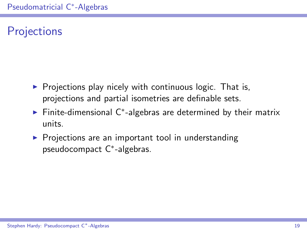# **Projections**

- $\triangleright$  Projections play nicely with continuous logic. That is, projections and partial isometries are definable sets.
- ► Finite-dimensional C\*-algebras are determined by their matrix units.
- $\triangleright$  Projections are an important tool in understanding pseudocompact C<sup>∗</sup> -algebras.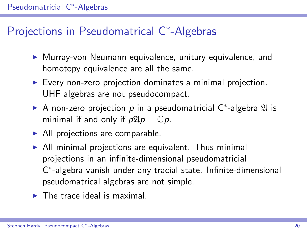# Projections in Pseudomatrical C<sup>\*</sup>-Algebras

- $\triangleright$  Murray-von Neumann equivalence, unitary equivalence, and homotopy equivalence are all the same.
- $\triangleright$  Every non-zero projection dominates a minimal projection. UHF algebras are not pseudocompact.
- A non-zero projection  $p$  in a pseudomatricial C\*-algebra  $\mathfrak A$  is minimal if and only if  $p \mathfrak{A} p = \mathbb{C} p$ .
- $\blacktriangleright$  All projections are comparable.
- $\triangleright$  All minimal projections are equivalent. Thus minimal projections in an infinite-dimensional pseudomatricial C ∗ -algebra vanish under any tracial state. Infinite-dimensional pseudomatrical algebras are not simple.
- $\blacktriangleright$  The trace ideal is maximal.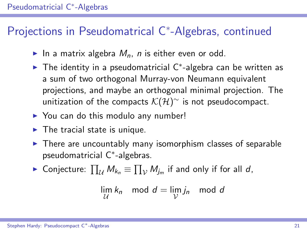# Projections in Pseudomatrical C<sup>\*</sup>-Algebras, continued

- In a matrix algebra  $M_n$ , n is either even or odd.
- ► The identity in a pseudomatricial C\*-algebra can be written as a sum of two orthogonal Murray-von Neumann equivalent projections, and maybe an orthogonal minimal projection. The unitization of the compacts  $\mathcal{K}(\mathcal{H})^{\sim}$  is not pseudocompact.
- $\triangleright$  You can do this modulo any number!
- $\blacktriangleright$  The tracial state is unique.
- $\triangleright$  There are uncountably many isomorphism classes of separable pseudomatricial C<sup>∗</sup> -algebras.
- ► Conjecture:  $\prod_{\mathcal{U}} M_{k_n} \equiv \prod_{\mathcal{V}} M_{j_m}$  if and only if for all  $d$ ,

$$
\lim_{\mathcal{U}} k_n \mod d = \lim_{\mathcal{V}} j_n \mod d
$$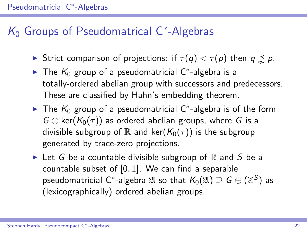# $K_0$  Groups of Pseudomatrical C\*-Algebras

- Strict comparison of projections: if  $\tau(q) < \tau(p)$  then  $q \preceq p$ .
- ► The  $K_0$  group of a pseudomatricial C\*-algebra is a totally-ordered abelian group with successors and predecessors. These are classified by Hahn's embedding theorem.
- ► The  $K_0$  group of a pseudomatricial C\*-algebra is of the form  $G \oplus \text{ker}(K_0(\tau))$  as ordered abelian groups, where G is a divisible subgroup of R and ker( $K_0(\tau)$ ) is the subgroup generated by trace-zero projections.
- Exect G be a countable divisible subgroup of  $\mathbb R$  and S be a countable subset of [0, 1]. We can find a separable pseudomatricial C\*-algebra  $\mathfrak A$  so that  $\mathcal K_0(\mathfrak A)\supseteq\mathcal G\oplus(\mathbb Z^S)$  as (lexicographically) ordered abelian groups.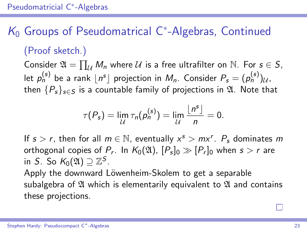# $K_0$  Groups of Pseudomatrical C<sup>\*</sup>-Algebras, Continued

#### (Proof sketch.)

Consider  $\mathfrak{A} = \prod_{\mathcal{U}} M_n$  where  $\mathcal{U}$  is a free ultrafilter on  $\mathbb{N}$ . For  $s \in S$ , let  $p_n^{(s)}$  be a rank  $\lfloor n^s \rfloor$  projection in  $M_n$ . Consider  $P_s = (p_n^{(s)})_{\mathcal U}$ , then  $\{P_s\}_{s\in S}$  is a countable family of projections in  $\mathfrak{A}$ . Note that

$$
\tau(P_s)=\lim_{\mathcal{U}}\tau_n(p_n^{(s)})=\lim_{\mathcal{U}}\frac{\lfloor n^s\rfloor}{n}=0.
$$

If  $s > r$ , then for all  $m \in \mathbb{N}$ , eventually  $x^s > mx^r$ .  $P_s$  dominates m orthogonal copies of  $P_r.$  In  $\mathcal{K}_0(\mathfrak{A}),\,[P_s]_0\gg[P_r]_0$  when  $s>r$  are in S. So  $K_0(\mathfrak{A}) \supseteq \mathbb{Z}^S$ .

Apply the downward Löwenheim-Skolem to get a separable subalgebra of  $\mathfrak A$  which is elementarily equivalent to  $\mathfrak A$  and contains these projections.